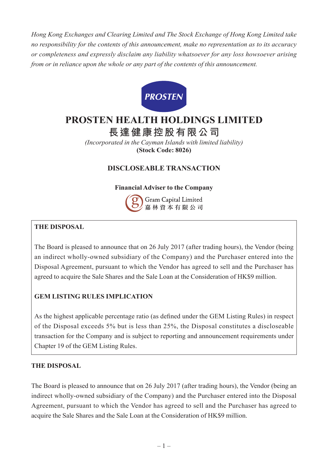*Hong Kong Exchanges and Clearing Limited and The Stock Exchange of Hong Kong Limited take no responsibility for the contents of this announcement, make no representation as to its accuracy or completeness and expressly disclaim any liability whatsoever for any loss howsoever arising from or in reliance upon the whole or any part of the contents of this announcement.*



# **PROSTEN HEALTH HOLDINGS LIMITED**

**長達健康控股有限公司**

*(Incorporated in the Cayman Islands with limited liability)* **(Stock Code: 8026)**

## **DISCLOSEABLE TRANSACTION**

#### **Financial Adviser to the Company**



## **THE DISPOSAL**

The Board is pleased to announce that on 26 July 2017 (after trading hours), the Vendor (being an indirect wholly-owned subsidiary of the Company) and the Purchaser entered into the Disposal Agreement, pursuant to which the Vendor has agreed to sell and the Purchaser has agreed to acquire the Sale Shares and the Sale Loan at the Consideration of HK\$9 million.

## **GEM LISTING RULES IMPLICATION**

As the highest applicable percentage ratio (as defined under the GEM Listing Rules) in respect of the Disposal exceeds 5% but is less than 25%, the Disposal constitutes a discloseable transaction for the Company and is subject to reporting and announcement requirements under Chapter 19 of the GEM Listing Rules.

#### **THE DISPOSAL**

The Board is pleased to announce that on 26 July 2017 (after trading hours), the Vendor (being an indirect wholly-owned subsidiary of the Company) and the Purchaser entered into the Disposal Agreement, pursuant to which the Vendor has agreed to sell and the Purchaser has agreed to acquire the Sale Shares and the Sale Loan at the Consideration of HK\$9 million.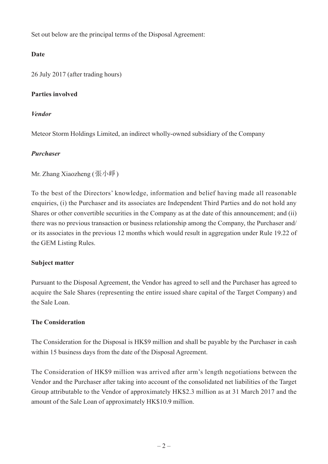Set out below are the principal terms of the Disposal Agreement:

## **Date**

26 July 2017 (after trading hours)

#### **Parties involved**

#### *Vendor*

Meteor Storm Holdings Limited, an indirect wholly-owned subsidiary of the Company

#### *Purchaser*

Mr. Zhang Xiaozheng (張小崢)

To the best of the Directors' knowledge, information and belief having made all reasonable enquiries, (i) the Purchaser and its associates are Independent Third Parties and do not hold any Shares or other convertible securities in the Company as at the date of this announcement; and (ii) there was no previous transaction or business relationship among the Company, the Purchaser and/ or its associates in the previous 12 months which would result in aggregation under Rule 19.22 of the GEM Listing Rules.

#### **Subject matter**

Pursuant to the Disposal Agreement, the Vendor has agreed to sell and the Purchaser has agreed to acquire the Sale Shares (representing the entire issued share capital of the Target Company) and the Sale Loan.

## **The Consideration**

The Consideration for the Disposal is HK\$9 million and shall be payable by the Purchaser in cash within 15 business days from the date of the Disposal Agreement.

The Consideration of HK\$9 million was arrived after arm's length negotiations between the Vendor and the Purchaser after taking into account of the consolidated net liabilities of the Target Group attributable to the Vendor of approximately HK\$2.3 million as at 31 March 2017 and the amount of the Sale Loan of approximately HK\$10.9 million.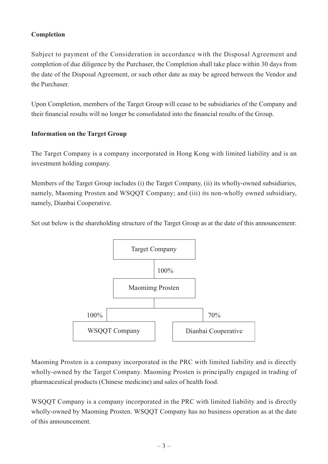#### **Completion**

Subject to payment of the Consideration in accordance with the Disposal Agreement and completion of due diligence by the Purchaser, the Completion shall take place within 30 days from the date of the Disposal Agreement, or such other date as may be agreed between the Vendor and the Purchaser.

Upon Completion, members of the Target Group will cease to be subsidiaries of the Company and their financial results will no longer be consolidated into the financial results of the Group.

#### **Information on the Target Group**

The Target Company is a company incorporated in Hong Kong with limited liability and is an investment holding company.

Members of the Target Group includes (i) the Target Company, (ii) its wholly-owned subsidiaries, namely, Maoming Prosten and WSQQT Company; and (iii) its non-wholly owned subsidiary, namely, Dianbai Cooperative.

Set out below is the shareholding structure of the Target Group as at the date of this announcement:



Maoming Prosten is a company incorporated in the PRC with limited liability and is directly wholly-owned by the Target Company. Maoming Prosten is principally engaged in trading of pharmaceutical products (Chinese medicine) and sales of health food.

WSQQT Company is a company incorporated in the PRC with limited liability and is directly wholly-owned by Maoming Prosten. WSQQT Company has no business operation as at the date of this announcement.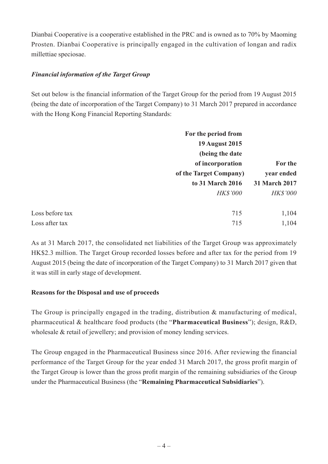Dianbai Cooperative is a cooperative established in the PRC and is owned as to 70% by Maoming Prosten. Dianbai Cooperative is principally engaged in the cultivation of longan and radix millettiae speciosae.

#### *Financial information of the Target Group*

Set out below is the financial information of the Target Group for the period from 19 August 2015 (being the date of incorporation of the Target Company) to 31 March 2017 prepared in accordance with the Hong Kong Financial Reporting Standards:

| For the period from |                                                                             |                      |
|---------------------|-----------------------------------------------------------------------------|----------------------|
|                     | <b>19 August 2015</b>                                                       |                      |
|                     | (being the date<br>of incorporation<br>of the Target Company)<br>year ended | For the              |
|                     |                                                                             |                      |
|                     |                                                                             |                      |
|                     | to 31 March 2016                                                            | <b>31 March 2017</b> |
|                     | <b>HK\$'000</b>                                                             | <b>HK\$'000</b>      |
| Loss before tax     | 715                                                                         | 1,104                |
| Loss after tax      | 715                                                                         | 1,104                |

As at 31 March 2017, the consolidated net liabilities of the Target Group was approximately HK\$2.3 million. The Target Group recorded losses before and after tax for the period from 19 August 2015 (being the date of incorporation of the Target Company) to 31 March 2017 given that it was still in early stage of development.

#### **Reasons for the Disposal and use of proceeds**

The Group is principally engaged in the trading, distribution & manufacturing of medical, pharmaceutical & healthcare food products (the "**Pharmaceutical Business**"); design, R&D, wholesale & retail of jewellery; and provision of money lending services.

The Group engaged in the Pharmaceutical Business since 2016. After reviewing the financial performance of the Target Group for the year ended 31 March 2017, the gross profit margin of the Target Group is lower than the gross profit margin of the remaining subsidiaries of the Group under the Pharmaceutical Business (the "**Remaining Pharmaceutical Subsidiaries**").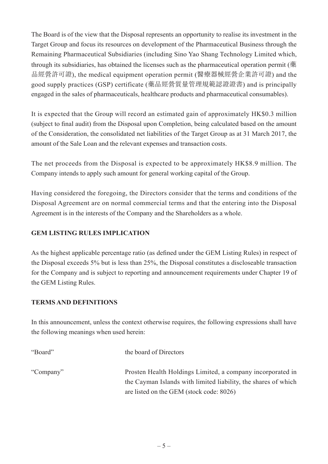The Board is of the view that the Disposal represents an opportunity to realise its investment in the Target Group and focus its resources on development of the Pharmaceutical Business through the Remaining Pharmaceutical Subsidiaries (including Sino Yao Shang Technology Limited which, through its subsidiaries, has obtained the licenses such as the pharmaceutical operation permit (藥 品經營許可證), the medical equipment operation permit (醫療器械經營企業許可證) and the good supply practices (GSP) certificate (藥品經營質量管理規範認證證書) and is principally engaged in the sales of pharmaceuticals, healthcare products and pharmaceutical consumables).

It is expected that the Group will record an estimated gain of approximately HK\$0.3 million (subject to final audit) from the Disposal upon Completion, being calculated based on the amount of the Consideration, the consolidated net liabilities of the Target Group as at 31 March 2017, the amount of the Sale Loan and the relevant expenses and transaction costs.

The net proceeds from the Disposal is expected to be approximately HK\$8.9 million. The Company intends to apply such amount for general working capital of the Group.

Having considered the foregoing, the Directors consider that the terms and conditions of the Disposal Agreement are on normal commercial terms and that the entering into the Disposal Agreement is in the interests of the Company and the Shareholders as a whole.

## **GEM LISTING RULES IMPLICATION**

As the highest applicable percentage ratio (as defined under the GEM Listing Rules) in respect of the Disposal exceeds 5% but is less than 25%, the Disposal constitutes a discloseable transaction for the Company and is subject to reporting and announcement requirements under Chapter 19 of the GEM Listing Rules.

#### **TERMS AND DEFINITIONS**

In this announcement, unless the context otherwise requires, the following expressions shall have the following meanings when used herein:

| "Board"   | the board of Directors                                                                                                       |
|-----------|------------------------------------------------------------------------------------------------------------------------------|
| "Company" | Prosten Health Holdings Limited, a company incorporated in<br>the Cayman Islands with limited liability, the shares of which |
|           | are listed on the GEM (stock code: 8026)                                                                                     |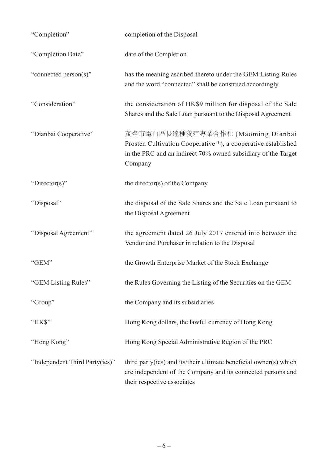| "Completion"                   | completion of the Disposal                                                                                                                                                     |
|--------------------------------|--------------------------------------------------------------------------------------------------------------------------------------------------------------------------------|
| "Completion Date"              | date of the Completion                                                                                                                                                         |
| "connected person(s)"          | has the meaning ascribed thereto under the GEM Listing Rules<br>and the word "connected" shall be construed accordingly                                                        |
| "Consideration"                | the consideration of HK\$9 million for disposal of the Sale<br>Shares and the Sale Loan pursuant to the Disposal Agreement                                                     |
| "Dianbai Cooperative"          | 茂名市電白區長達種養殖專業合作社 (Maoming Dianbai<br>Prosten Cultivation Cooperative *), a cooperative established<br>in the PRC and an indirect 70% owned subsidiary of the Target<br>Company |
| "Director(s)"                  | the director(s) of the Company                                                                                                                                                 |
| "Disposal"                     | the disposal of the Sale Shares and the Sale Loan pursuant to<br>the Disposal Agreement                                                                                        |
| "Disposal Agreement"           | the agreement dated 26 July 2017 entered into between the<br>Vendor and Purchaser in relation to the Disposal                                                                  |
| "GEM"                          | the Growth Enterprise Market of the Stock Exchange                                                                                                                             |
| "GEM Listing Rules"            | the Rules Governing the Listing of the Securities on the GEM                                                                                                                   |
| "Group"                        | the Company and its subsidiaries                                                                                                                                               |
| "HK\$"                         | Hong Kong dollars, the lawful currency of Hong Kong                                                                                                                            |
| "Hong Kong"                    | Hong Kong Special Administrative Region of the PRC                                                                                                                             |
| "Independent Third Party(ies)" | third party(ies) and its/their ultimate beneficial owner(s) which<br>are independent of the Company and its connected persons and<br>their respective associates               |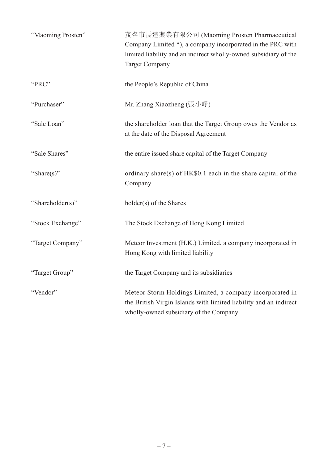| "Maoming Prosten" | 茂名市長達藥業有限公司 (Maoming Prosten Pharmaceutical<br>Company Limited *), a company incorporated in the PRC with<br>limited liability and an indirect wholly-owned subsidiary of the<br><b>Target Company</b> |
|-------------------|--------------------------------------------------------------------------------------------------------------------------------------------------------------------------------------------------------|
| "PRC"             | the People's Republic of China                                                                                                                                                                         |
| "Purchaser"       | Mr. Zhang Xiaozheng (張小崢)                                                                                                                                                                              |
| "Sale Loan"       | the shareholder loan that the Target Group owes the Vendor as<br>at the date of the Disposal Agreement                                                                                                 |
| "Sale Shares"     | the entire issued share capital of the Target Company                                                                                                                                                  |
| "Share(s)"        | ordinary share(s) of HK\$0.1 each in the share capital of the<br>Company                                                                                                                               |
| "Shareholder(s)"  | holder(s) of the Shares                                                                                                                                                                                |
| "Stock Exchange"  | The Stock Exchange of Hong Kong Limited                                                                                                                                                                |
| "Target Company"  | Meteor Investment (H.K.) Limited, a company incorporated in<br>Hong Kong with limited liability                                                                                                        |
| "Target Group"    | the Target Company and its subsidiaries                                                                                                                                                                |
| "Vendor"          | Meteor Storm Holdings Limited, a company incorporated in<br>the British Virgin Islands with limited liability and an indirect<br>wholly-owned subsidiary of the Company                                |